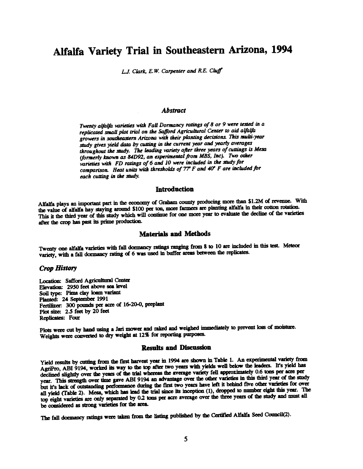# Alfalfa Variety Trial in Southeastern Arizona, 1994

 $LJ$ . Clark, E.W. Carpenter and R.E. Cluff

## Abstract

Twenty alfalfa varieties with Fall Dormancy ratings of 8 or 9 were tested in a replicated small plot trial on the Safford Agricultural Center to aid alfalfa growers in southeastern Arizona with their planting decisions. This multi -year study gives yield data by cutting in the current year and yearly averages throughout the study. The leading variety after three years of cuttings is Mesa ( formerly known as 84D92, an experimental from MBS, Inc). Two other varieties with FD ratings of 6 and 10 were included in the study for comparison. Heat units with thresholds of 7? F and 40' F are included for each cutting in the study.

#### **Introduction**

Alfalfa plays an important part in the economy of Graham county producing more than \$1.2M of revenue. With the value of alfalfa hay staying around \$100 per ton, more farmers are planting alfalfa in their cotton rotation. This it the third year of this study which will continue for one more year to evaluate the decline of the varieties after the crop has past its prime production.

## Materials and Methods

Twenty one alfalfa varieties with fall dormancy ratings ranging from 8 to 10 are included in this test. Meteor variety, with a fall dormancy rating of 6 was used in buffer areas between the replicates.

#### Crop History

Location: Safford Agricultural Center Elevation: 2950 feet above sea level Soil type: Pima clay loam variant Planted: 24 September 1991 Fertilizer: 300 pounds per acre of 16-20-0, preplant Plot size: 2.5 feet by 20 feet Replicates: Four

Plots were cut by hand using a Jari mower and raked and weighed immediately to prevent loss of moisture. Weights were converted to dry weight at 12% for reporting purposes.

### Results and Discussion

Yield results by cutting from the first harvest year in 1994 are shown in Table 1. An experimental variety from AgriPro, ABI 9194, worked its way to the top after two years with yields well below the leaders. It's yield has declined slightly over the years of the trial whereas the average variety fell approximately 0.6 tons per acre per year. This strength over time gave ABI 9194 an advantage over the other varieties in this third year of the study but it's lack of outstanding performance during the first two years have left it behind five other varieties for over all yield (Table 2). Mesa, which has lead the trial since its inception (1), dropped to number eight this year. The top eight varieties are only separated by 0.2 tons per acre average over the three years of the study and must all be considered as strong varieties for the area.

The fall dormancy ratings were taken from the listing published by the Certified Alfalfa Seed Council(2).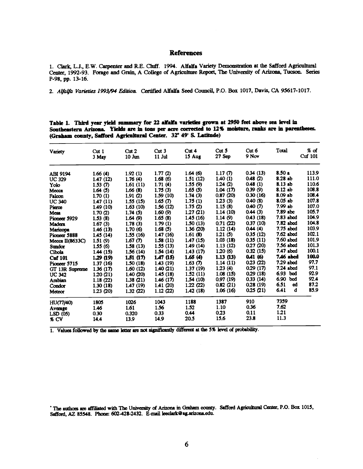## References

1. Clark, L.J., E.W. Carpenter and R.E. Cluff. 1994. Alfalfa Variety Demonstration at the Safford Agricultural Center, 1992 -93. Forage and Grain, A College of Agriculture Report, The University of Arizona, Tucson. Series P-98, pp. 13-16.

2. Alfalfa Varieties 1993/94 Edition. Certified Alfalfa Seed Council, P.O. Box 1017, Davis, CA 95617-1017.

Table 1. Third year yield summary for 22 alfalfa varieties grown at 2950 feet above sea level in Southeastern Arizona. Yields are in tons per acre corrected to 12% moisture, ranks are in parentheses. (Graham county, Safford Agricultural Center. 32° 49' S. Latitude)

| Variety         | Cut <sub>1</sub><br>3 May | Cut2<br>$10 \; \mathrm{J}$ | Cut <sub>3</sub><br>$11$ Jul | Cut <sub>4</sub><br>15 Aug | Cut <sub>5</sub><br>$27$ Sep | Cut <sub>6</sub><br>9 Nov | Total      | % of<br>Cuf 101 |
|-----------------|---------------------------|----------------------------|------------------------------|----------------------------|------------------------------|---------------------------|------------|-----------------|
| ABI 9194        | 1.66(4)                   | 1.92(1)                    | 1.77(2)                      | 1.64(6)                    | 1.17 $(7)$                   | 0.34(13)                  | 8.50a      | 113.9           |
| <b>UC 329</b>   | 1.47(12)                  | 1.76(4)                    | 1.68(6)                      | 1.51(12)                   | 1.40(1)                      | 0.48(2)                   | 8.28 ab    | 111.0           |
| Yolo            | 1.53 $(7)$                | 1.61(11)                   | 1.71(4)                      | 1.55(9)                    | 1.24(2)                      | 0.48(1)                   | 8.13 ab    | 110.6           |
| Mecca           | 1.64(5)                   | 1.66(8)                    | 1.75(3)                      | 1.65(5)                    | 1.04(17)                     | 0.39(9)                   | 8.12 ab    | 108.8           |
| Falcon          | 1.70(1)                   | 1.91(2)                    | 1.59(10)                     | 1.74(3)                    | 0.87(20)                     | 0.30(16)                  | 8.09 ab    | 108.4           |
| <b>UC 340</b>   | 1.47(11)                  | 1.55(15)                   | 1.65 $(7)$                   | 1.75(1)                    | 1.23(3)                      | 0.40(8)                   | 8.05 ab    | 107.8           |
| Pierce          | 1.49(10)                  | 1.63(10)                   | 1.56(12)                     | 1.75(2)                    | 1.15(8)                      | 0.40(T)                   | 7.99 ab    | 107.0           |
| Mesa            | 1.70(2)                   | 1.74(5)                    | 1.60(9)                      | 1.27(21)                   | 1.14(10)                     | 0.44(3)                   | 7.89 abc   | 105.7           |
| Pioneer 5929    | 1.53(8)                   | 1.64(9)                    | 1.65(8)                      | 1.45(16)                   | 1.14(9)                      | 0.43(18)                  | 7.83 abcd  | 104.9           |
| Madera          | 1.67(3)                   | 1.78(3)                    | 1.79(1)                      | 1.50(13)                   | 0.71(22)                     | 0.37(10)                  | 7.82 abcd  | 104.8           |
| Maricopa        | 1.46(13)                  | 1.70(6)                    | 1.68(5)                      | 1.36(20)                   | 1.12(14)                     | 0.44(4)                   | 7.75 abcd  | 103.9           |
| Pioneer 5888    | 1.45(14)                  | 1.55(16)                   | 1.47(16)                     | 1.61(8)                    | 1.21(5)                      | 0.35(12)                  | 7.62 abcd  | 102.1           |
| Mecca II(8633C) | 1.51(9)                   | 1.67 $(7)$                 | 1.58(11)                     | 1.47(15)                   | 1.03(18)                     | 0.35(11)                  | 7.60 abcd  | 101.9           |
| <b>Sundor</b>   | 1.55(6)                   | 1.58(13)                   | 1.55(13)                     | 1.49(14)                   | 1.13(12)                     | 0.27(20)                  | 7.56 abcd  | 101.3           |
| Cibola          | 1.44(15)                  | 1.56(14)                   | 1.54(14)                     | 1.43(17)                   | 1.20(6)                      | 0.32(15)                  | 7.47 abcd  | 100.1           |
| <b>Cuf 101</b>  | 1.29(19)                  | 1.51(17)                   | 1.47(15)                     | 1.65(4)                    | 1.13(13)                     | 0.41(6)                   | 7.46 abcd  | 100.0           |
| Pioneer 5715    | 1.37(16)                  | 1.50(18)                   | 1.43(19)                     | 1.63 $(7)$                 | 1.14(11)                     | 0.23(22)                  | 7.29 abcd  | 97.7            |
| GT 13R Supreme  | 1.36(17)                  | 1.60(12)                   | 1.40(21)                     | 1.37(19)                   | 1.23(4)                      | 0.29(17)                  | 7.24 abcd  | 97.1            |
| <b>UC 342</b>   | 1.20(21)                  | 1.40(20)                   | 1.45(18)                     | 1.52(11)                   | 1.08(15)                     | 0.29(18)                  | $6.93$ bcd | 92.9            |
| Arabian         | 1.18(22)                  | 1.38(21)                   | 1.46(17)                     | 1,54(10)                   | 0.97(19)                     | 0.33(14)                  | 6.90 bcd   | 92.4            |
| Condor          | 1.30(18)                  | 1.47(19)                   | 1.41 (20)                    | 1.22(22)                   | 0.82(21)                     | 0.28(19)                  | 6.51<br>αd | 87.2            |
| Meteor          | 1.23(20)                  | 1.32(22)                   | 1.12(22)                     | 1.42(18)                   | 1.06(16)                     | 0.25(21)                  | 6.41<br>đ  | 85.9            |
| HU(77/40)       | 1805                      | 1026                       | 1043                         | 1188                       | 1387                         | 910                       | 7359       |                 |
| Average         | 1.46                      | 1.61                       | 1.56                         | 1.52                       | 1.10                         | 0.36                      | 7.62       |                 |
| LSD(05)         | 0.30                      | 0.320                      | 0.33                         | 0.44                       | 0.23                         | 0.11                      | 1.21       |                 |
| % CV            | 14.4                      | 13.9                       | 14.9                         | 20.5                       | 15.6                         | 23.8                      | 11.3       |                 |

1. Values followed by the same letter are not significantly different at the 5% level of probability.

The authors are affiliated with The University of Arizona in Graham county. Safford Agricultural Center, P.O. Box 1015, Safford, AZ 85548. Phone: 602-428-2432. E-mail leeclark@ag.arizona.edu.